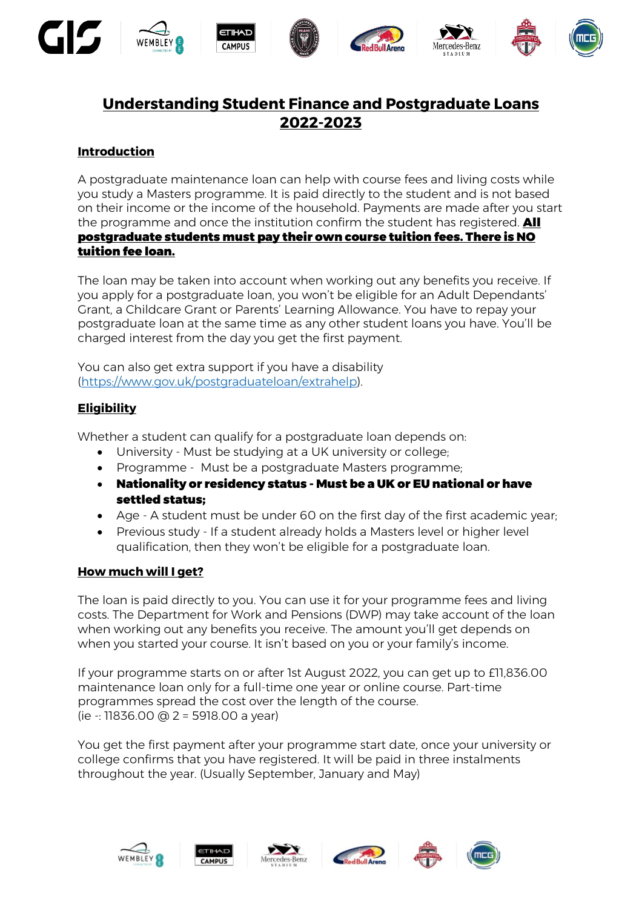

# **Understanding Student Finance and Postgraduate Loans 2022-2023**

# **Introduction**

A postgraduate maintenance loan can help with course fees and living costs while you study a Masters programme. It is paid directly to the student and is not based on their income or the income of the household. Payments are made after you start the programme and once the institution confirm the student has registered. **All** postgraduate students must pay their own course tuition fees. There is NO tuition fee loan.

The loan may be taken into account when working out any benefits you receive. If you apply for a postgraduate loan, you won't be eligible for an Adult Dependants' Grant, a Childcare Grant or Parents' Learning Allowance. You have to repay your postgraduate loan at the same time as any other student loans you have. You'll be charged interest from the day you get the first payment.

You can also get extra support if you have a disability [\(https://www.gov.uk/postgraduateloan/extrahelp\)](https://www.gov.uk/postgraduateloan/extrahelp).

## **Eligibility**

Whether a student can qualify for a postgraduate loan depends on:

- University Must be studying at a UK university or college;
- Programme Must be a postgraduate Masters programme;
- Nationality or residency status Must be a UK or EU national or have settled status;
- Age A student must be under 60 on the first day of the first academic year;
- Previous study If a student already holds a Masters level or higher level qualification, then they won't be eligible for a postgraduate loan.

#### **How much will I get?**

The loan is paid directly to you. You can use it for your programme fees and living costs. The Department for Work and Pensions (DWP) may take account of the loan when working out any benefits you receive. The amount you'll get depends on when you started your course. It isn't based on you or your family's income.

If your programme starts on or after 1st August 2022, you can get up to £11,836.00 maintenance loan only for a full-time one year or online course. Part-time programmes spread the cost over the length of the course. (ie -: 11836.00 @ 2 = 5918.00 a year)

You get the first payment after your programme start date, once your university or college confirms that you have registered. It will be paid in three instalments throughout the year. (Usually September, January and May)









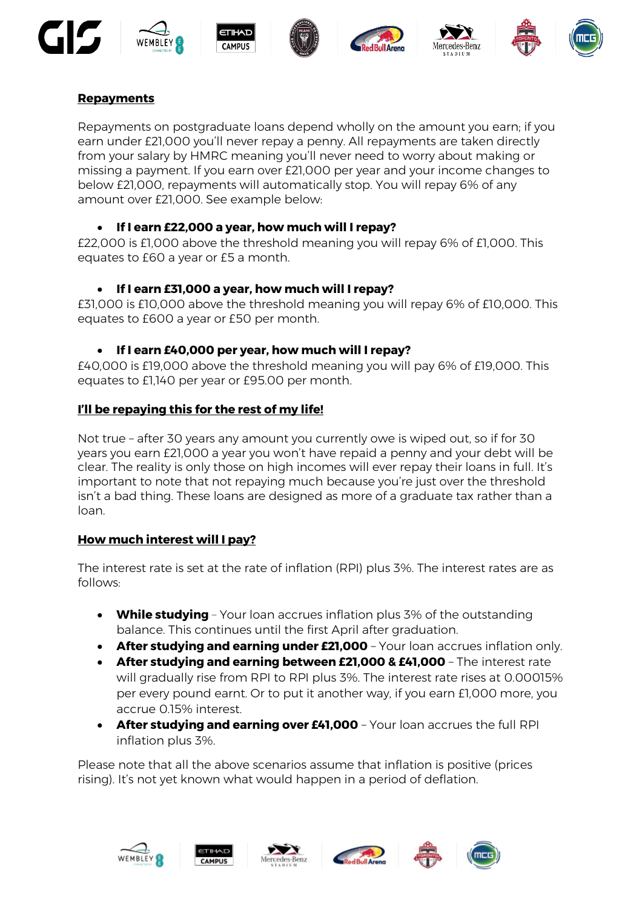











# **Repayments**

Repayments on postgraduate loans depend wholly on the amount you earn; if you earn under £21,000 you'll never repay a penny. All repayments are taken directly from your salary by HMRC meaning you'll never need to worry about making or missing a payment. If you earn over £21,000 per year and your income changes to below £21,000, repayments will automatically stop. You will repay 6% of any amount over £21,000. See example below:

## • **If I earn £22,000 a year, how much will I repay?**

£22,000 is £1,000 above the threshold meaning you will repay 6% of £1,000. This equates to £60 a year or £5 a month.

# • **If I earn £31,000 a year, how much will I repay?**

£31,000 is £10,000 above the threshold meaning you will repay 6% of £10,000. This equates to £600 a year or £50 per month.

# • **If I earn £40,000 per year, how much will I repay?**

£40,000 is £19,000 above the threshold meaning you will pay 6% of £19,000. This equates to £1,140 per year or £95.00 per month.

## **I'll be repaying this for the rest of my life!**

Not true – after 30 years any amount you currently owe is wiped out, so if for 30 years you earn £21,000 a year you won't have repaid a penny and your debt will be clear. The reality is only those on high incomes will ever repay their loans in full. It's important to note that not repaying much because you're just over the threshold isn't a bad thing. These loans are designed as more of a graduate tax rather than a loan.

# **How much interest will I pay?**

The interest rate is set at the rate of inflation (RPI) plus 3%. The interest rates are as follows:

- **While studying** Your loan accrues inflation plus 3% of the outstanding balance. This continues until the first April after graduation.
- **After studying and earning under £21,000** Your loan accrues inflation only.
- **After studying and earning between £21,000 & £41,000** The interest rate will gradually rise from RPI to RPI plus 3%. The interest rate rises at 0.00015% per every pound earnt. Or to put it another way, if you earn £1,000 more, you accrue 0.15% interest.
- **After studying and earning over £41,000** Your loan accrues the full RPI inflation plus 3%.

Please note that all the above scenarios assume that inflation is positive (prices rising). It's not yet known what would happen in a period of deflation.









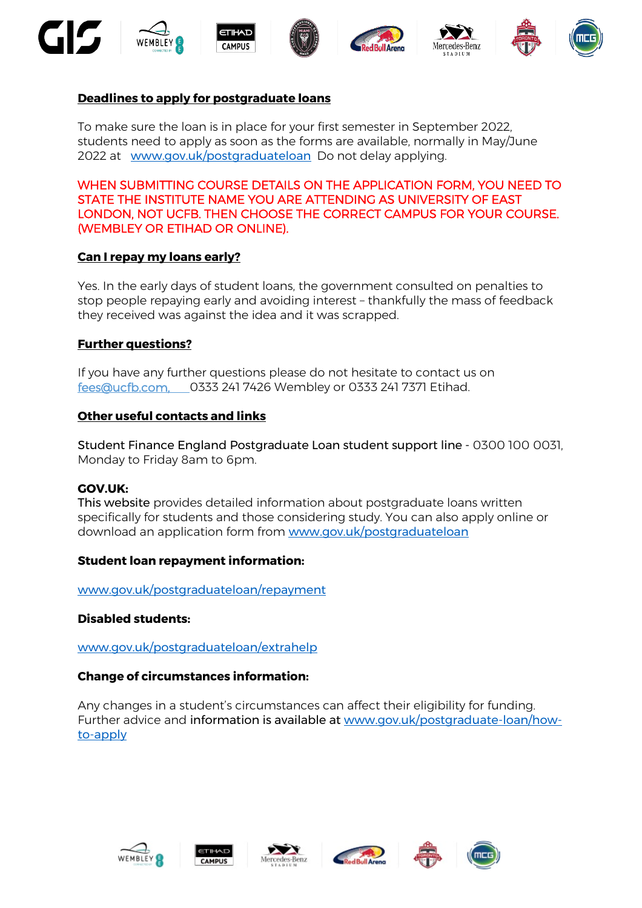









## **Deadlines to apply for postgraduate loans**

To make sure the loan is in place for your first semester in September 2022, students need to apply as soon as the forms are available, normally in May/June 2022 at [www.gov.uk/postgraduateloan](http://www.gov.uk/postgraduateloan) Do not delay applying.

WHEN SUBMITTING COURSE DETAILS ON THE APPLICATION FORM, YOU NEED TO STATE THE INSTITUTE NAME YOU ARE ATTENDING AS UNIVERSITY OF EAST LONDON, NOT UCFB. THEN CHOOSE THE CORRECT CAMPUS FOR YOUR COURSE. (WEMBLEY OR ETIHAD OR ONLINE).

#### **Can I repay my loans early?**

Yes. In the early days of student loans, the government consulted on penalties to stop people repaying early and avoiding interest – thankfully the mass of feedback they received was against the idea and it was scrapped.

#### **Further questions?**

If you have any further questions please do not hesitate to contact us on [fees@ucfb.com,](mailto:fees@ucfb.com) 0333 241 7426 Wembley or 0333 241 7371 Etihad.

#### **Other useful contacts and links**

Student Finance England Postgraduate Loan student support line - 0300 100 0031, Monday to Friday 8am to 6pm.

#### **GOV.UK:**

This website provides detailed information about postgraduate loans written specifically for students and those considering study. You can also apply online or download an application form from [www.gov.uk/postgraduateloan](http://www.gov.uk/postgraduateloan) 

#### **Student loan repayment information:**

[www.gov.uk/postgraduateloan/repayment](http://www.gov.uk/postgraduateloan/repayment)

#### **Disabled students:**

[www.gov.uk/postgraduateloan/extrahelp](http://www.gov.uk/postgarduateloan/extrahelp) 

#### **Change of circumstances information:**

Any changes in a student's circumstances can affect their eligibility for funding. Further advice and information is available at [www.gov.uk/postgraduate-loan/how](http://www.gov.uk/postgraduate-loan/how-to-apply)[to-apply](http://www.gov.uk/postgraduate-loan/how-to-apply)